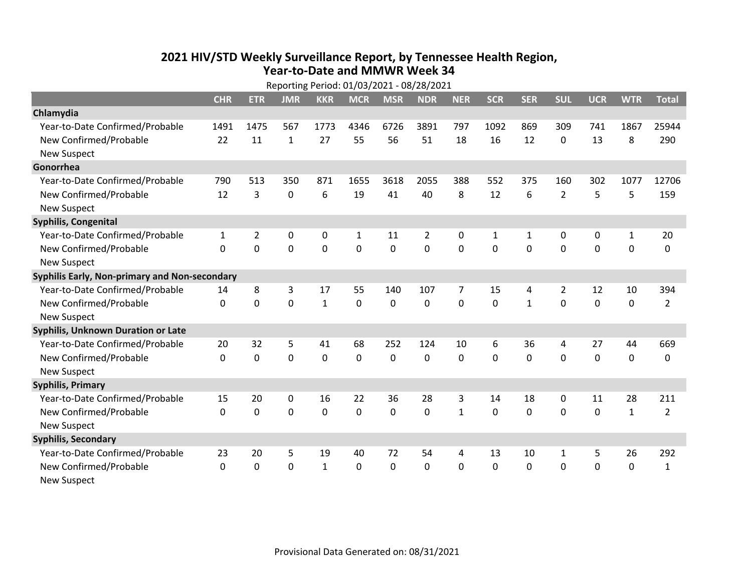## **2021 HIV /STD Weekly Surveillance Report, by Tennessee Health Region, Year‐to‐Date and MMWR Week 34** Reporting Period: 01/03/2021 ‐ 08/28/2021

|                                               | Reporting Period: 01/03/2021 - 08/28/2021 |             |             |                |              |             |            |              |              |              |                |             |              |                |
|-----------------------------------------------|-------------------------------------------|-------------|-------------|----------------|--------------|-------------|------------|--------------|--------------|--------------|----------------|-------------|--------------|----------------|
|                                               | <b>CHR</b>                                | <b>ETR</b>  | <b>JMR</b>  | <b>KKR</b>     | <b>MCR</b>   | <b>MSR</b>  | <b>NDR</b> | <b>NER</b>   | <b>SCR</b>   | <b>SER</b>   | <b>SUL</b>     | <b>UCR</b>  | <b>WTR</b>   | <b>Total</b>   |
| Chlamydia                                     |                                           |             |             |                |              |             |            |              |              |              |                |             |              |                |
| Year-to-Date Confirmed/Probable               | 1491                                      | 1475        | 567         | 1773           | 4346         | 6726        | 3891       | 797          | 1092         | 869          | 309            | 741         | 1867         | 25944          |
| New Confirmed/Probable                        | 22                                        | 11          | 1           | 27             | 55           | 56          | 51         | 18           | 16           | 12           | 0              | 13          | 8            | 290            |
| <b>New Suspect</b>                            |                                           |             |             |                |              |             |            |              |              |              |                |             |              |                |
| Gonorrhea                                     |                                           |             |             |                |              |             |            |              |              |              |                |             |              |                |
| Year-to-Date Confirmed/Probable               | 790                                       | 513         | 350         | 871            | 1655         | 3618        | 2055       | 388          | 552          | 375          | 160            | 302         | 1077         | 12706          |
| New Confirmed/Probable                        | 12                                        | 3           | 0           | 6              | 19           | 41          | 40         | 8            | 12           | 6            | $\overline{2}$ | 5           | 5            | 159            |
| <b>New Suspect</b>                            |                                           |             |             |                |              |             |            |              |              |              |                |             |              |                |
| <b>Syphilis, Congenital</b>                   |                                           |             |             |                |              |             |            |              |              |              |                |             |              |                |
| Year-to-Date Confirmed/Probable               | $\mathbf{1}$                              | 2           | 0           | 0              | $\mathbf{1}$ | 11          | 2          | 0            | $\mathbf{1}$ | 1            | 0              | 0           | $\mathbf{1}$ | 20             |
| New Confirmed/Probable                        | $\Omega$                                  | 0           | 0           | $\overline{0}$ | $\mathbf 0$  | $\mathbf 0$ | 0          | $\Omega$     | $\Omega$     | $\Omega$     | $\mathbf 0$    | $\mathbf 0$ | $\mathbf 0$  | 0              |
| <b>New Suspect</b>                            |                                           |             |             |                |              |             |            |              |              |              |                |             |              |                |
| Syphilis Early, Non-primary and Non-secondary |                                           |             |             |                |              |             |            |              |              |              |                |             |              |                |
| Year-to-Date Confirmed/Probable               | 14                                        | 8           | 3           | 17             | 55           | 140         | 107        | 7            | 15           | 4            | 2              | 12          | 10           | 394            |
| New Confirmed/Probable                        | $\mathbf{0}$                              | $\mathbf 0$ | 0           | $\mathbf{1}$   | $\mathbf 0$  | 0           | 0          | $\mathbf 0$  | 0            | $\mathbf{1}$ | 0              | 0           | $\mathbf 0$  | $\overline{2}$ |
| <b>New Suspect</b>                            |                                           |             |             |                |              |             |            |              |              |              |                |             |              |                |
| Syphilis, Unknown Duration or Late            |                                           |             |             |                |              |             |            |              |              |              |                |             |              |                |
| Year-to-Date Confirmed/Probable               | 20                                        | 32          | 5           | 41             | 68           | 252         | 124        | 10           | 6            | 36           | 4              | 27          | 44           | 669            |
| New Confirmed/Probable                        | $\mathbf{0}$                              | 0           | 0           | 0              | $\mathbf 0$  | 0           | 0          | $\mathbf 0$  | $\Omega$     | 0            | 0              | 0           | $\mathbf 0$  | 0              |
| <b>New Suspect</b>                            |                                           |             |             |                |              |             |            |              |              |              |                |             |              |                |
| <b>Syphilis, Primary</b>                      |                                           |             |             |                |              |             |            |              |              |              |                |             |              |                |
| Year-to-Date Confirmed/Probable               | 15                                        | 20          | $\mathbf 0$ | 16             | 22           | 36          | 28         | 3            | 14           | 18           | 0              | 11          | 28           | 211            |
| New Confirmed/Probable                        | $\mathbf{0}$                              | $\mathbf 0$ | 0           | 0              | $\mathbf 0$  | 0           | 0          | $\mathbf{1}$ | $\Omega$     | 0            | 0              | 0           | $\mathbf{1}$ | $\overline{2}$ |
| <b>New Suspect</b>                            |                                           |             |             |                |              |             |            |              |              |              |                |             |              |                |
| <b>Syphilis, Secondary</b>                    |                                           |             |             |                |              |             |            |              |              |              |                |             |              |                |
| Year-to-Date Confirmed/Probable               | 23                                        | 20          | 5           | 19             | 40           | 72          | 54         | 4            | 13           | 10           | $\mathbf{1}$   | 5           | 26           | 292            |
| New Confirmed/Probable                        | $\mathbf{0}$                              | 0           | 0           | $\mathbf{1}$   | 0            | 0           | 0          | $\mathbf{0}$ | $\mathbf{0}$ | 0            | 0              | 0           | $\mathbf 0$  | $\mathbf{1}$   |
| <b>New Suspect</b>                            |                                           |             |             |                |              |             |            |              |              |              |                |             |              |                |